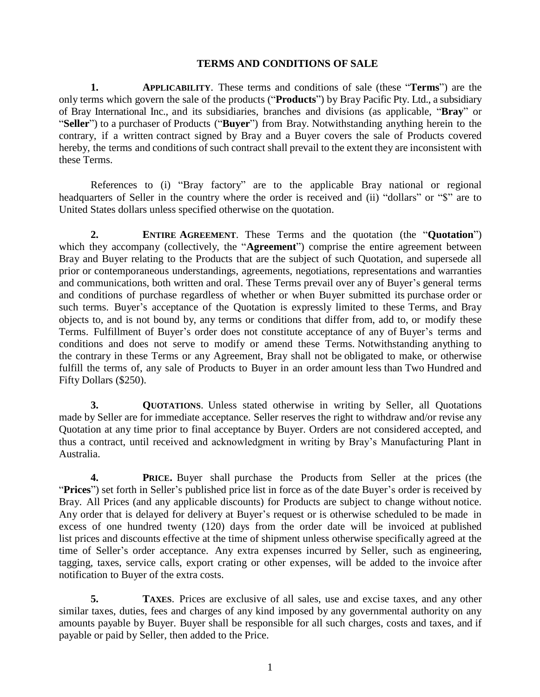### **TERMS AND CONDITIONS OF SALE**

**1. APPLICABILITY**. These terms and conditions of sale (these "**Terms**") are the only terms which govern the sale of the products ("**Products**") by Bray Pacific Pty. Ltd., a subsidiary of Bray International Inc., and its subsidiaries, branches and divisions (as applicable, "**Bray**" or "**Seller**") to a purchaser of Products ("**Buyer**") from Bray. Notwithstanding anything herein to the contrary, if a written contract signed by Bray and a Buyer covers the sale of Products covered hereby, the terms and conditions of such contract shall prevail to the extent they are inconsistent with these Terms.

References to (i) "Bray factory" are to the applicable Bray national or regional headquarters of Seller in the country where the order is received and (ii) "dollars" or "\$" are to United States dollars unless specified otherwise on the quotation.

**2. ENTIRE AGREEMENT**. These Terms and the quotation (the "**Quotation**") which they accompany (collectively, the "**Agreement**") comprise the entire agreement between Bray and Buyer relating to the Products that are the subject of such Quotation, and supersede all prior or contemporaneous understandings, agreements, negotiations, representations and warranties and communications, both written and oral. These Terms prevail over any of Buyer's general terms and conditions of purchase regardless of whether or when Buyer submitted its purchase order or such terms. Buyer's acceptance of the Quotation is expressly limited to these Terms, and Bray objects to, and is not bound by, any terms or conditions that differ from, add to, or modify these Terms. Fulfillment of Buyer's order does not constitute acceptance of any of Buyer's terms and conditions and does not serve to modify or amend these Terms. Notwithstanding anything to the contrary in these Terms or any Agreement, Bray shall not be obligated to make, or otherwise fulfill the terms of, any sale of Products to Buyer in an order amount less than Two Hundred and Fifty Dollars (\$250).

**3. QUOTATIONS**. Unless stated otherwise in writing by Seller, all Quotations made by Seller are for immediate acceptance. Seller reserves the right to withdraw and/or revise any Quotation at any time prior to final acceptance by Buyer. Orders are not considered accepted, and thus a contract, until received and acknowledgment in writing by Bray's Manufacturing Plant in Australia.

**4. PRICE.** Buyer shall purchase the Products from Seller at the prices (the "**Prices**") set forth in Seller's published price list in force as of the date Buyer's order is received by Bray. All Prices (and any applicable discounts) for Products are subject to change without notice. Any order that is delayed for delivery at Buyer's request or is otherwise scheduled to be made in excess of one hundred twenty (120) days from the order date will be invoiced at published list prices and discounts effective at the time of shipment unless otherwise specifically agreed at the time of Seller's order acceptance. Any extra expenses incurred by Seller, such as engineering, tagging, taxes, service calls, export crating or other expenses, will be added to the invoice after notification to Buyer of the extra costs.

**5. TAXES**. Prices are exclusive of all sales, use and excise taxes, and any other similar taxes, duties, fees and charges of any kind imposed by any governmental authority on any amounts payable by Buyer. Buyer shall be responsible for all such charges, costs and taxes, and if payable or paid by Seller, then added to the Price.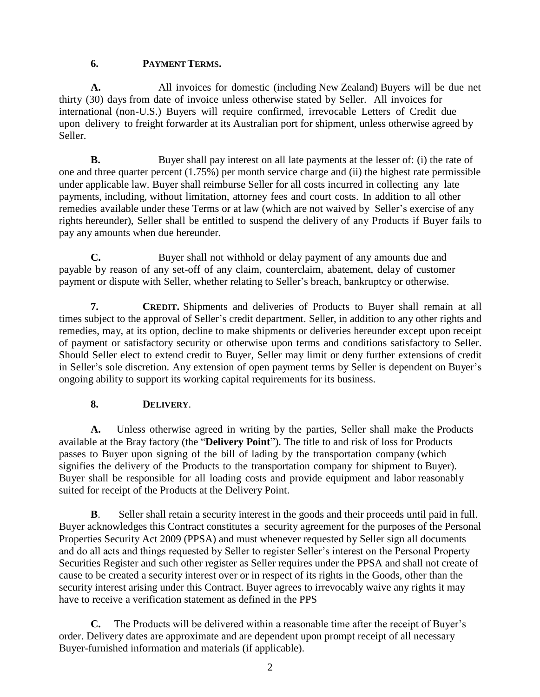## **6. PAYMENT TERMS.**

**A.** All invoices for domestic (including New Zealand) Buyers will be due net thirty (30) days from date of invoice unless otherwise stated by Seller. All invoices for international (non-U.S.) Buyers will require confirmed, irrevocable Letters of Credit due upon delivery to freight forwarder at its Australian port for shipment, unless otherwise agreed by Seller.

**B.** Buyer shall pay interest on all late payments at the lesser of: (i) the rate of one and three quarter percent (1.75%) per month service charge and (ii) the highest rate permissible under applicable law. Buyer shall reimburse Seller for all costs incurred in collecting any late payments, including, without limitation, attorney fees and court costs. In addition to all other remedies available under these Terms or at law (which are not waived by Seller's exercise of any rights hereunder), Seller shall be entitled to suspend the delivery of any Products if Buyer fails to pay any amounts when due hereunder.

**C.** Buyer shall not withhold or delay payment of any amounts due and payable by reason of any set-off of any claim, counterclaim, abatement, delay of customer payment or dispute with Seller, whether relating to Seller's breach, bankruptcy or otherwise.

**7. CREDIT.** Shipments and deliveries of Products to Buyer shall remain at all times subject to the approval of Seller's credit department. Seller, in addition to any other rights and remedies, may, at its option, decline to make shipments or deliveries hereunder except upon receipt of payment or satisfactory security or otherwise upon terms and conditions satisfactory to Seller. Should Seller elect to extend credit to Buyer, Seller may limit or deny further extensions of credit in Seller's sole discretion. Any extension of open payment terms by Seller is dependent on Buyer's ongoing ability to support its working capital requirements for its business.

# **8. DELIVERY**.

<span id="page-1-0"></span>**A.** Unless otherwise agreed in writing by the parties, Seller shall make the Products available at the Bray factory (the "**Delivery Point**"). The title to and risk of loss for Products passes to Buyer upon signing of the bill of lading by the transportation company (which signifies the delivery of the Products to the transportation company for shipment to Buyer). Buyer shall be responsible for all loading costs and provide equipment and labor reasonably suited for receipt of the Products at the Delivery Point.

**B**. Seller shall retain a security interest in the goods and their proceeds until paid in full. Buyer acknowledges this Contract constitutes a security agreement for the purposes of the Personal Properties Security Act 2009 (PPSA) and must whenever requested by Seller sign all documents and do all acts and things requested by Seller to register Seller's interest on the Personal Property Securities Register and such other register as Seller requires under the PPSA and shall not create of cause to be created a security interest over or in respect of its rights in the Goods, other than the security interest arising under this Contract. Buyer agrees to irrevocably waive any rights it may have to receive a verification statement as defined in the PPS

**C.** The Products will be delivered within a reasonable time after the receipt of Buyer's order. Delivery dates are approximate and are dependent upon prompt receipt of all necessary Buyer-furnished information and materials (if applicable).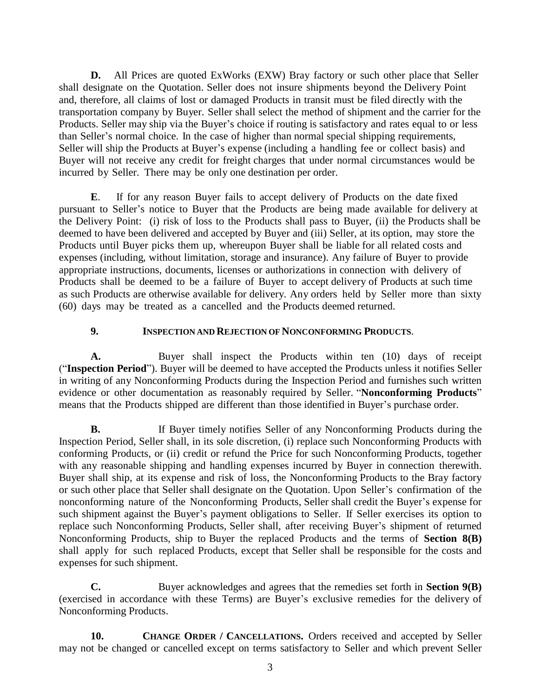**D.** All Prices are quoted ExWorks (EXW) Bray factory or such other place that Seller shall designate on the Quotation. Seller does not insure shipments beyond the Delivery Point and, therefore, all claims of lost or damaged Products in transit must be filed directly with the transportation company by Buyer. Seller shall select the method of shipment and the carrier for the Products. Seller may ship via the Buyer's choice if routing is satisfactory and rates equal to or less than Seller's normal choice. In the case of higher than normal special shipping requirements, Seller will ship the Products at Buyer's expense (including a handling fee or collect basis) and Buyer will not receive any credit for freight charges that under normal circumstances would be incurred by Seller. There may be only one destination per order.

**E**. If for any reason Buyer fails to accept delivery of Products on the date fixed pursuant to Seller's notice to Buyer that the Products are being made available for delivery at the Delivery Point: (i) risk of loss to the Products shall pass to Buyer, (ii) the Products shall be deemed to have been delivered and accepted by Buyer and (iii) Seller, at its option, may store the Products until Buyer picks them up, whereupon Buyer shall be liable for all related costs and expenses (including, without limitation, storage and insurance). Any failure of Buyer to provide appropriate instructions, documents, licenses or authorizations in connection with delivery of Products shall be deemed to be a failure of Buyer to accept delivery of Products at such time as such Products are otherwise available for delivery. Any orders held by Seller more than sixty (60) days may be treated as a cancelled and the Products deemed returned.

### <span id="page-2-0"></span>**9. INSPECTION AND REJECTION OF NONCONFORMING PRODUCTS**.

**A.** Buyer shall inspect the Products within ten (10) days of receipt ("**Inspection Period**"). Buyer will be deemed to have accepted the Products unless it notifies Seller in writing of any Nonconforming Products during the Inspection Period and furnishes such written evidence or other documentation as reasonably required by Seller. "**Nonconforming Products**" means that the Products shipped are different than those identified in Buyer's purchase order.

**B.** If Buyer timely notifies Seller of any Nonconforming Products during the Inspection Period, Seller shall, in its sole discretion, (i) replace such Nonconforming Products with conforming Products, or (ii) credit or refund the Price for such Nonconforming Products, together with any reasonable shipping and handling expenses incurred by Buyer in connection therewith. Buyer shall ship, at its expense and risk of loss, the Nonconforming Products to the Bray factory or such other place that Seller shall designate on the Quotation. Upon Seller's confirmation of the nonconforming nature of the Nonconforming Products, Seller shall credit the Buyer's expense for such shipment against the Buyer's payment obligations to Seller. If Seller exercises its option to replace such Nonconforming Products, Seller shall, after receiving Buyer's shipment of returned Nonconforming Products, ship to Buyer the replaced Products and the terms of **[Section](#page-1-0) 8(B)** shall apply for such replaced Products, except that Seller shall be responsible for the costs and expenses for such shipment.

**C.** Buyer acknowledges and agrees that the remedies set forth in **[Section](#page-2-0) 9(B)** (exercised in accordance with these Terms) are Buyer's exclusive remedies for the delivery of Nonconforming Products.

**10. CHANGE ORDER / CANCELLATIONS.** Orders received and accepted by Seller may not be changed or cancelled except on terms satisfactory to Seller and which prevent Seller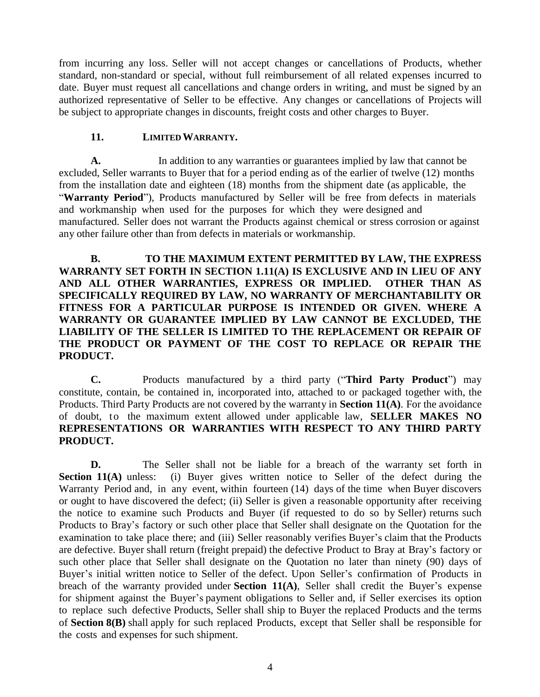from incurring any loss. Seller will not accept changes or cancellations of Products, whether standard, non-standard or special, without full reimbursement of all related expenses incurred to date. Buyer must request all cancellations and change orders in writing, and must be signed by an authorized representative of Seller to be effective. Any changes or cancellations of Projects will be subject to appropriate changes in discounts, freight costs and other charges to Buyer.

#### **11. LIMITEDWARRANTY.**

<span id="page-3-0"></span>**A.** In addition to any warranties or guarantees implied by law that cannot be excluded, Seller warrants to Buyer that for a period ending as of the earlier of twelve (12) months from the installation date and eighteen (18) months from the shipment date (as applicable, the "**Warranty Period**"), Products manufactured by Seller will be free from defects in materials and workmanship when used for the purposes for which they were designed and manufactured. Seller does not warrant the Products against chemical or stress corrosion or against any other failure other than from defects in materials or workmanship.

**B. TO THE MAXIMUM EXTENT PERMITTED BY LAW, THE EXPRESS WARRANTY SET FORTH IN SECTION 1.11(A) IS EXCLUSIVE AND IN LIEU OF ANY AND ALL OTHER WARRANTIES, EXPRESS OR IMPLIED. OTHER THAN AS SPECIFICALLY REQUIRED BY LAW, NO WARRANTY OF MERCHANTABILITY OR FITNESS FOR A PARTICULAR PURPOSE IS INTENDED OR GIVEN. WHERE A WARRANTY OR GUARANTEE IMPLIED BY LAW CANNOT BE EXCLUDED, THE LIABILITY OF THE SELLER IS LIMITED TO THE REPLACEMENT OR REPAIR OF THE PRODUCT OR PAYMENT OF THE COST TO REPLACE OR REPAIR THE PRODUCT.**

**C.** Products manufactured by a third party ("**Third Party Product**") may constitute, contain, be contained in, incorporated into, attached to or packaged together with, the Products. Third Party Products are not covered by the warranty in **[Section](#page-3-0) 11(A)**. For the avoidance of doubt, to the maximum extent allowed under applicable law, **SELLER MAKES NO REPRESENTATIONS OR WARRANTIES WITH RESPECT TO ANY THIRD PARTY PRODUCT.**

<span id="page-3-1"></span>**D.** The Seller shall not be liable for a breach of the warranty set forth in **[Section](#page-3-0) 11(A)** unless: (i) Buyer gives written notice to Seller of the defect during the Warranty Period and, in any event, within fourteen (14) days of the time when Buyer discovers or ought to have discovered the defect; (ii) Seller is given a reasonable opportunity after receiving the notice to examine such Products and Buyer (if requested to do so by Seller) returns such Products to Bray's factory or such other place that Seller shall designate on the Quotation for the examination to take place there; and (iii) Seller reasonably verifies Buyer's claim that the Products are defective. Buyer shall return (freight prepaid) the defective Product to Bray at Bray's factory or such other place that Seller shall designate on the Quotation no later than ninety (90) days of Buyer's initial written notice to Seller of the defect. Upon Seller's confirmation of Products in breach of the warranty provided under **[Section](#page-3-0) 11(A)**, Seller shall credit the Buyer's expense for shipment against the Buyer's payment obligations to Seller and, if Seller exercises its option to replace such defective Products, Seller shall ship to Buyer the replaced Products and the terms of **[Section](#page-1-0) 8(B)** shall apply for such replaced Products, except that Seller shall be responsible for the costs and expenses for such shipment.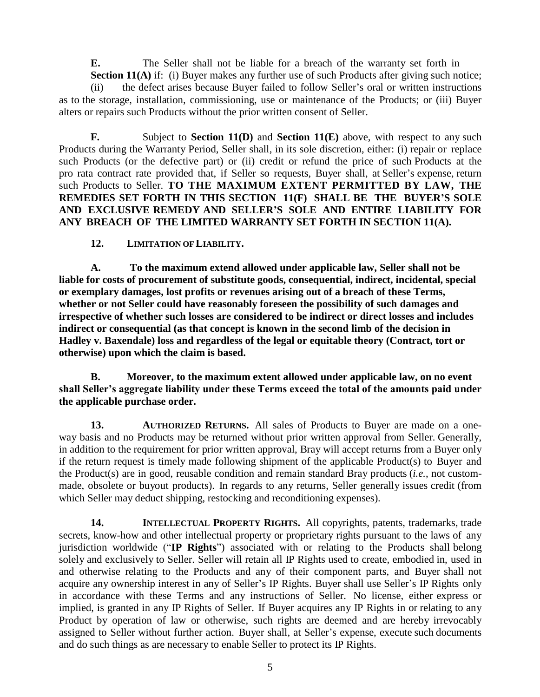**E.** The Seller shall not be liable for a breach of the warranty set forth in **[Section](#page-3-0) 11(A)** if: (i) Buyer makes any further use of such Products after giving such notice;

<span id="page-4-0"></span>(ii) the defect arises because Buyer failed to follow Seller's oral or written instructions as to the storage, installation, commissioning, use or maintenance of the Products; or (iii) Buyer alters or repairs such Products without the prior written consent of Seller.

**F.** Subject to **[Section](#page-3-1) 11(D)** and **[Section](#page-4-0) 11(E)** above, with respect to any such Products during the Warranty Period, Seller shall, in its sole discretion, either: (i) repair or replace such Products (or the defective part) or (ii) credit or refund the price of such Products at the pro rata contract rate provided that, if Seller so requests, Buyer shall, at Seller's expense, return such Products to Seller. **TO THE MAXIMUM EXTENT PERMITTED BY LAW, THE REMEDIES SET FORTH IN THIS SECTION 11(F) SHALL BE THE BUYER'S SOLE AND EXCLUSIVE REMEDY AND SELLER'S SOLE AND ENTIRE LIABILITY FOR ANY BREACH OF THE LIMITED WARRANTY SET FORTH IN [SECTION 11\(A\).](#page-3-0)**

**12. LIMITATION OFLIABILITY.**

**A. To the maximum extend allowed under applicable law, Seller shall not be liable for costs of procurement of substitute goods, consequential, indirect, incidental, special or exemplary damages, lost profits or revenues arising out of a breach of these Terms, whether or not Seller could have reasonably foreseen the possibility of such damages and irrespective of whether such losses are considered to be indirect or direct losses and includes indirect or consequential (as that concept is known in the second limb of the decision in Hadley v. Baxendale) loss and regardless of the legal or equitable theory (Contract, tort or otherwise) upon which the claim is based.**

**B. Moreover, to the maximum extent allowed under applicable law, on no event shall Seller's aggregate liability under these Terms exceed the total of the amounts paid under the applicable purchase order.**

**13. AUTHORIZED RETURNS.** All sales of Products to Buyer are made on a oneway basis and no Products may be returned without prior written approval from Seller. Generally, in addition to the requirement for prior written approval, Bray will accept returns from a Buyer only if the return request is timely made following shipment of the applicable Product(s) to Buyer and the Product(s) are in good, reusable condition and remain standard Bray products (*i.e.*, not custommade, obsolete or buyout products). In regards to any returns, Seller generally issues credit (from which Seller may deduct shipping, restocking and reconditioning expenses).

**14. INTELLECTUAL PROPERTY RIGHTS.** All copyrights, patents, trademarks, trade secrets, know-how and other intellectual property or proprietary rights pursuant to the laws of any jurisdiction worldwide ("**IP Rights**") associated with or relating to the Products shall belong solely and exclusively to Seller. Seller will retain all IP Rights used to create, embodied in, used in and otherwise relating to the Products and any of their component parts, and Buyer shall not acquire any ownership interest in any of Seller's IP Rights. Buyer shall use Seller's IP Rights only in accordance with these Terms and any instructions of Seller. No license, either express or implied, is granted in any IP Rights of Seller. If Buyer acquires any IP Rights in or relating to any Product by operation of law or otherwise, such rights are deemed and are hereby irrevocably assigned to Seller without further action. Buyer shall, at Seller's expense, execute such documents and do such things as are necessary to enable Seller to protect its IP Rights.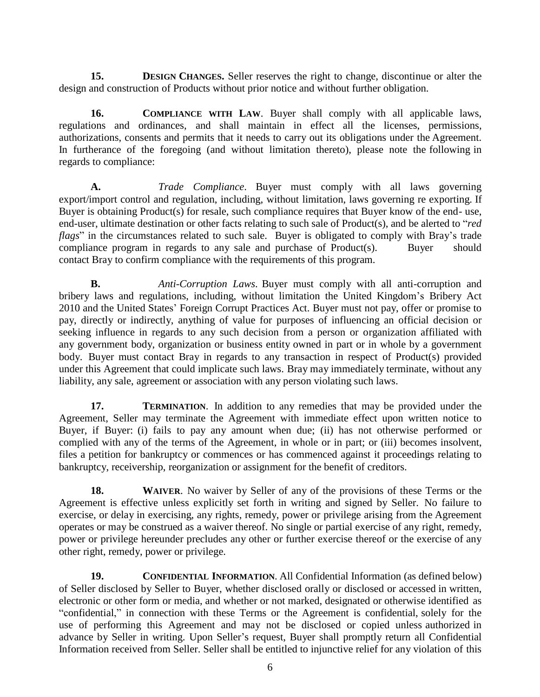**15. DESIGN CHANGES**. Seller reserves the right to change, discontinue or alter the design and construction of Products without prior notice and without further obligation.

**16. COMPLIANCE WITH LAW**. Buyer shall comply with all applicable laws, regulations and ordinances, and shall maintain in effect all the licenses, permissions, authorizations, consents and permits that it needs to carry out its obligations under the Agreement. In furtherance of the foregoing (and without limitation thereto), please note the following in regards to compliance:

**A.** *Trade Compliance*. Buyer must comply with all laws governing export/import control and regulation, including, without limitation, laws governing re exporting. If Buyer is obtaining Product(s) for resale, such compliance requires that Buyer know of the end- use, end-user, ultimate destination or other facts relating to such sale of Product(s), and be alerted to "*red flags*" in the circumstances related to such sale. Buyer is obligated to comply with Bray's trade compliance program in regards to any sale and purchase of Product(s). Buyer should contact Bray to confirm compliance with the requirements of this program.

**B.** *Anti-Corruption Laws*. Buyer must comply with all anti-corruption and bribery laws and regulations, including, without limitation the United Kingdom's Bribery Act 2010 and the United States' Foreign Corrupt Practices Act. Buyer must not pay, offer or promise to pay, directly or indirectly, anything of value for purposes of influencing an official decision or seeking influence in regards to any such decision from a person or organization affiliated with any government body, organization or business entity owned in part or in whole by a government body. Buyer must contact Bray in regards to any transaction in respect of Product(s) provided under this Agreement that could implicate such laws. Bray may immediately terminate, without any liability, any sale, agreement or association with any person violating such laws.

**17. TERMINATION**. In addition to any remedies that may be provided under the Agreement, Seller may terminate the Agreement with immediate effect upon written notice to Buyer, if Buyer: (i) fails to pay any amount when due; (ii) has not otherwise performed or complied with any of the terms of the Agreement, in whole or in part; or (iii) becomes insolvent, files a petition for bankruptcy or commences or has commenced against it proceedings relating to bankruptcy, receivership, reorganization or assignment for the benefit of creditors.

**18. WAIVER**. No waiver by Seller of any of the provisions of these Terms or the Agreement is effective unless explicitly set forth in writing and signed by Seller. No failure to exercise, or delay in exercising, any rights, remedy, power or privilege arising from the Agreement operates or may be construed as a waiver thereof. No single or partial exercise of any right, remedy, power or privilege hereunder precludes any other or further exercise thereof or the exercise of any other right, remedy, power or privilege.

**19. CONFIDENTIAL INFORMATION.** All Confidential Information (as defined below) of Seller disclosed by Seller to Buyer, whether disclosed orally or disclosed or accessed in written, electronic or other form or media, and whether or not marked, designated or otherwise identified as "confidential," in connection with these Terms or the Agreement is confidential, solely for the use of performing this Agreement and may not be disclosed or copied unless authorized in advance by Seller in writing. Upon Seller's request, Buyer shall promptly return all Confidential Information received from Seller. Seller shall be entitled to injunctive relief for any violation of this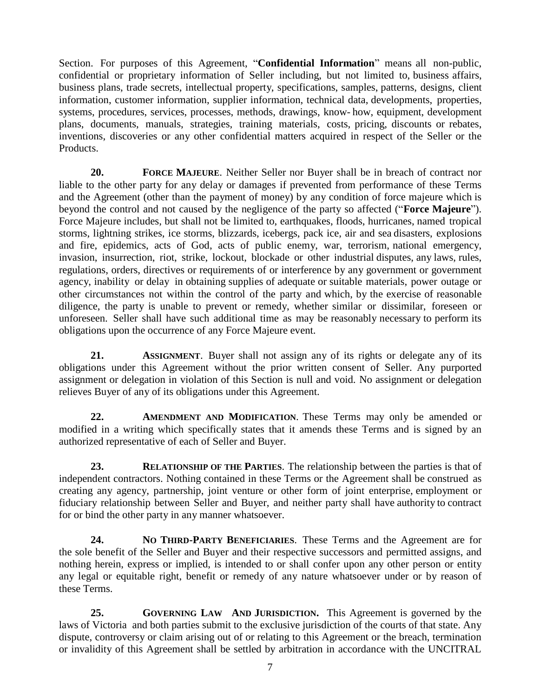Section. For purposes of this Agreement, "**Confidential Information**" means all non-public, confidential or proprietary information of Seller including, but not limited to, business affairs, business plans, trade secrets, intellectual property, specifications, samples, patterns, designs, client information, customer information, supplier information, technical data, developments, properties, systems, procedures, services, processes, methods, drawings, know- how, equipment, development plans, documents, manuals, strategies, training materials, costs, pricing, discounts or rebates, inventions, discoveries or any other confidential matters acquired in respect of the Seller or the Products.

**20. FORCE MAJEURE**. Neither Seller nor Buyer shall be in breach of contract nor liable to the other party for any delay or damages if prevented from performance of these Terms and the Agreement (other than the payment of money) by any condition of force majeure which is beyond the control and not caused by the negligence of the party so affected ("**Force Majeure**"). Force Majeure includes, but shall not be limited to, earthquakes, floods, hurricanes, named tropical storms, lightning strikes, ice storms, blizzards, icebergs, pack ice, air and sea disasters, explosions and fire, epidemics, acts of God, acts of public enemy, war, terrorism, national emergency, invasion, insurrection, riot, strike, lockout, blockade or other industrial disputes, any laws, rules, regulations, orders, directives or requirements of or interference by any government or government agency, inability or delay in obtaining supplies of adequate or suitable materials, power outage or other circumstances not within the control of the party and which, by the exercise of reasonable diligence, the party is unable to prevent or remedy, whether similar or dissimilar, foreseen or unforeseen. Seller shall have such additional time as may be reasonably necessary to perform its obligations upon the occurrence of any Force Majeure event.

**21. ASSIGNMENT**. Buyer shall not assign any of its rights or delegate any of its obligations under this Agreement without the prior written consent of Seller. Any purported assignment or delegation in violation of this Section is null and void. No assignment or delegation relieves Buyer of any of its obligations under this Agreement.

**22. AMENDMENT AND MODIFICATION**. These Terms may only be amended or modified in a writing which specifically states that it amends these Terms and is signed by an authorized representative of each of Seller and Buyer.

**23. RELATIONSHIP OF THE PARTIES**. The relationship between the parties is that of independent contractors. Nothing contained in these Terms or the Agreement shall be construed as creating any agency, partnership, joint venture or other form of joint enterprise, employment or fiduciary relationship between Seller and Buyer, and neither party shall have authority to contract for or bind the other party in any manner whatsoever.

**24. NO THIRD-PARTY BENEFICIARIES**. These Terms and the Agreement are for the sole benefit of the Seller and Buyer and their respective successors and permitted assigns, and nothing herein, express or implied, is intended to or shall confer upon any other person or entity any legal or equitable right, benefit or remedy of any nature whatsoever under or by reason of these Terms.

**25. GOVERNING LAW AND JURISDICTION.** This Agreement is governed by the laws of Victoria and both parties submit to the exclusive jurisdiction of the courts of that state. Any dispute, controversy or claim arising out of or relating to this Agreement or the breach, termination or invalidity of this Agreement shall be settled by arbitration in accordance with the UNCITRAL